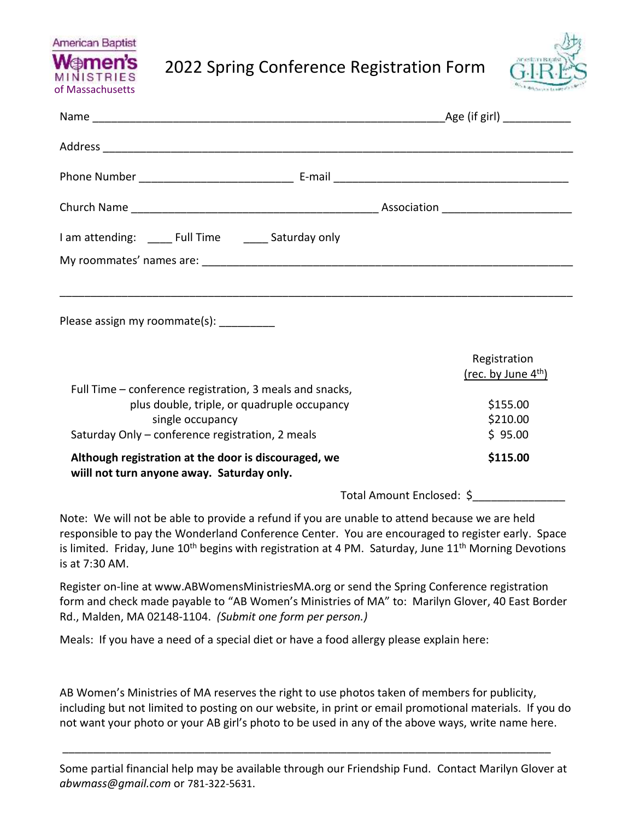

2022 Spring Conference Registration Form



|                                                                                                                                                                                 | _Age (if girl) _____________                                            |  |
|---------------------------------------------------------------------------------------------------------------------------------------------------------------------------------|-------------------------------------------------------------------------|--|
|                                                                                                                                                                                 |                                                                         |  |
|                                                                                                                                                                                 |                                                                         |  |
|                                                                                                                                                                                 |                                                                         |  |
| I am attending: _______ Full Time ________ Saturday only                                                                                                                        |                                                                         |  |
|                                                                                                                                                                                 |                                                                         |  |
|                                                                                                                                                                                 |                                                                         |  |
| Please assign my roommate(s):                                                                                                                                                   |                                                                         |  |
| Full Time – conference registration, 3 meals and snacks,<br>plus double, triple, or quadruple occupancy<br>single occupancy<br>Saturday Only – conference registration, 2 meals | Registration<br>$(rec. by June 4th)$<br>\$155.00<br>\$210.00<br>\$95.00 |  |
| Although registration at the door is discouraged, we<br>wiill not turn anyone away. Saturday only.                                                                              | \$115.00                                                                |  |

Total Amount Enclosed: \$\_\_\_\_\_\_\_\_\_\_\_\_\_\_\_

Note: We will not be able to provide a refund if you are unable to attend because we are held responsible to pay the Wonderland Conference Center. You are encouraged to register early. Space is limited. Friday, June 10<sup>th</sup> begins with registration at 4 PM. Saturday, June 11<sup>th</sup> Morning Devotions is at 7:30 AM.

Register on-line at [www.ABWomensMinistriesMA.org](http://www.abwomensministriesma.org/) or send the Spring Conference registration form and check made payable to "AB Women's Ministries of MA" to: Marilyn Glover, 40 East Border Rd., Malden, MA 02148-1104. *(Submit one form per person.)*

Meals: If you have a need of a special diet or have a food allergy please explain here:

AB Women's Ministries of MA reserves the right to use photos taken of members for publicity, including but not limited to posting on our website, in print or email promotional materials. If you do not want your photo or your AB girl's photo to be used in any of the above ways, write name here.

Some partial financial help may be available through our Friendship Fund. Contact Marilyn Glover at *[abwmass@gmail.com](mailto:abwmass@gmail.com)* or 781-322-5631.

\_\_\_\_\_\_\_\_\_\_\_\_\_\_\_\_\_\_\_\_\_\_\_\_\_\_\_\_\_\_\_\_\_\_\_\_\_\_\_\_\_\_\_\_\_\_\_\_\_\_\_\_\_\_\_\_\_\_\_\_\_\_\_\_\_\_\_\_\_\_\_\_\_\_\_\_\_\_\_